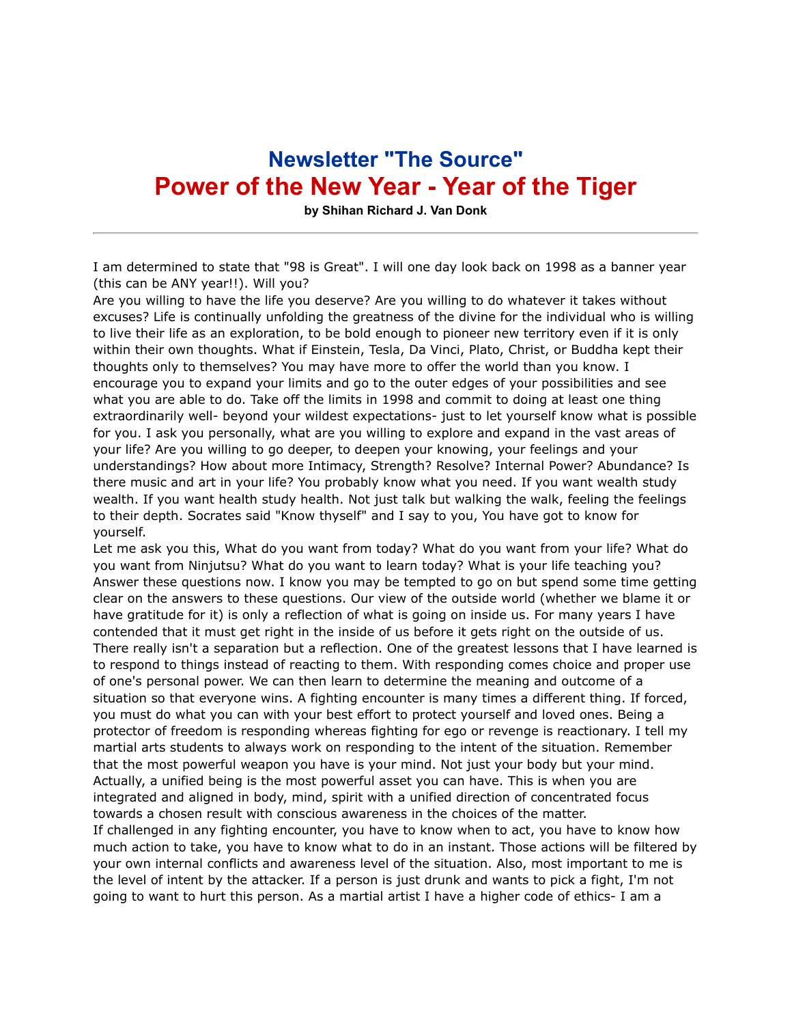## **Newsletter "The Source" Power of the New Year - Year of the Tiger**

**by Shihan Richard J. Van Donk**

I am determined to state that "98 is Great". I will one day look back on 1998 as a banner year (this can be ANY year!!). Will you?

Are you willing to have the life you deserve? Are you willing to do whatever it takes without excuses? Life is continually unfolding the greatness of the divine for the individual who is willing to live their life as an exploration, to be bold enough to pioneer new territory even if it is only within their own thoughts. What if Einstein, Tesla, Da Vinci, Plato, Christ, or Buddha kept their thoughts only to themselves? You may have more to offer the world than you know. I encourage you to expand your limits and go to the outer edges of your possibilities and see what you are able to do. Take off the limits in 1998 and commit to doing at least one thing extraordinarily well- beyond your wildest expectations- just to let yourself know what is possible for you. I ask you personally, what are you willing to explore and expand in the vast areas of your life? Are you willing to go deeper, to deepen your knowing, your feelings and your understandings? How about more Intimacy, Strength? Resolve? Internal Power? Abundance? Is there music and art in your life? You probably know what you need. If you want wealth study wealth. If you want health study health. Not just talk but walking the walk, feeling the feelings to their depth. Socrates said "Know thyself" and I say to you, You have got to know for yourself.

Let me ask you this, What do you want from today? What do you want from your life? What do you want from Ninjutsu? What do you want to learn today? What is your life teaching you? Answer these questions now. I know you may be tempted to go on but spend some time getting clear on the answers to these questions. Our view of the outside world (whether we blame it or have gratitude for it) is only a reflection of what is going on inside us. For many years I have contended that it must get right in the inside of us before it gets right on the outside of us. There really isn't a separation but a reflection. One of the greatest lessons that I have learned is to respond to things instead of reacting to them. With responding comes choice and proper use of one's personal power. We can then learn to determine the meaning and outcome of a situation so that everyone wins. A fighting encounter is many times a different thing. If forced, you must do what you can with your best effort to protect yourself and loved ones. Being a protector of freedom is responding whereas fighting for ego or revenge is reactionary. I tell my martial arts students to always work on responding to the intent of the situation. Remember that the most powerful weapon you have is your mind. Not just your body but your mind. Actually, a unified being is the most powerful asset you can have. This is when you are integrated and aligned in body, mind, spirit with a unified direction of concentrated focus towards a chosen result with conscious awareness in the choices of the matter.

If challenged in any fighting encounter, you have to know when to act, you have to know how much action to take, you have to know what to do in an instant. Those actions will be filtered by your own internal conflicts and awareness level of the situation. Also, most important to me is the level of intent by the attacker. If a person is just drunk and wants to pick a fight, I'm not going to want to hurt this person. As a martial artist I have a higher code of ethics- I am a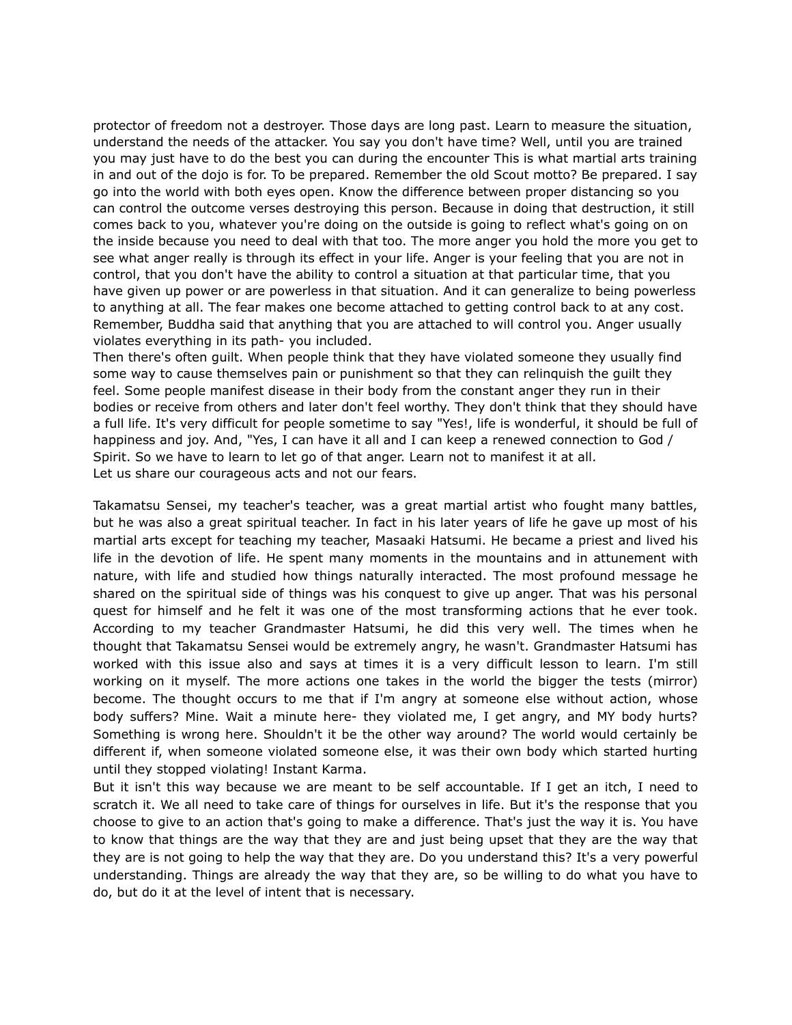protector of freedom not a destroyer. Those days are long past. Learn to measure the situation, understand the needs of the attacker. You say you don't have time? Well, until you are trained you may just have to do the best you can during the encounter This is what martial arts training in and out of the dojo is for. To be prepared. Remember the old Scout motto? Be prepared. I say go into the world with both eyes open. Know the difference between proper distancing so you can control the outcome verses destroying this person. Because in doing that destruction, it still comes back to you, whatever you're doing on the outside is going to reflect what's going on on the inside because you need to deal with that too. The more anger you hold the more you get to see what anger really is through its effect in your life. Anger is your feeling that you are not in control, that you don't have the ability to control a situation at that particular time, that you have given up power or are powerless in that situation. And it can generalize to being powerless to anything at all. The fear makes one become attached to getting control back to at any cost. Remember, Buddha said that anything that you are attached to will control you. Anger usually violates everything in its path- you included.

Then there's often guilt. When people think that they have violated someone they usually find some way to cause themselves pain or punishment so that they can relinquish the guilt they feel. Some people manifest disease in their body from the constant anger they run in their bodies or receive from others and later don't feel worthy. They don't think that they should have a full life. It's very difficult for people sometime to say "Yes!, life is wonderful, it should be full of happiness and joy. And, "Yes, I can have it all and I can keep a renewed connection to God / Spirit. So we have to learn to let go of that anger. Learn not to manifest it at all. Let us share our courageous acts and not our fears.

Takamatsu Sensei, my teacher's teacher, was a great martial artist who fought many battles, but he was also a great spiritual teacher. In fact in his later years of life he gave up most of his martial arts except for teaching my teacher, Masaaki Hatsumi. He became a priest and lived his life in the devotion of life. He spent many moments in the mountains and in attunement with nature, with life and studied how things naturally interacted. The most profound message he shared on the spiritual side of things was his conquest to give up anger. That was his personal quest for himself and he felt it was one of the most transforming actions that he ever took. According to my teacher Grandmaster Hatsumi, he did this very well. The times when he thought that Takamatsu Sensei would be extremely angry, he wasn't. Grandmaster Hatsumi has worked with this issue also and says at times it is a very difficult lesson to learn. I'm still working on it myself. The more actions one takes in the world the bigger the tests (mirror) become. The thought occurs to me that if I'm angry at someone else without action, whose body suffers? Mine. Wait a minute here- they violated me, I get angry, and MY body hurts? Something is wrong here. Shouldn't it be the other way around? The world would certainly be different if, when someone violated someone else, it was their own body which started hurting until they stopped violating! Instant Karma.

But it isn't this way because we are meant to be self accountable. If I get an itch, I need to scratch it. We all need to take care of things for ourselves in life. But it's the response that you choose to give to an action that's going to make a difference. That's just the way it is. You have to know that things are the way that they are and just being upset that they are the way that they are is not going to help the way that they are. Do you understand this? It's a very powerful understanding. Things are already the way that they are, so be willing to do what you have to do, but do it at the level of intent that is necessary.